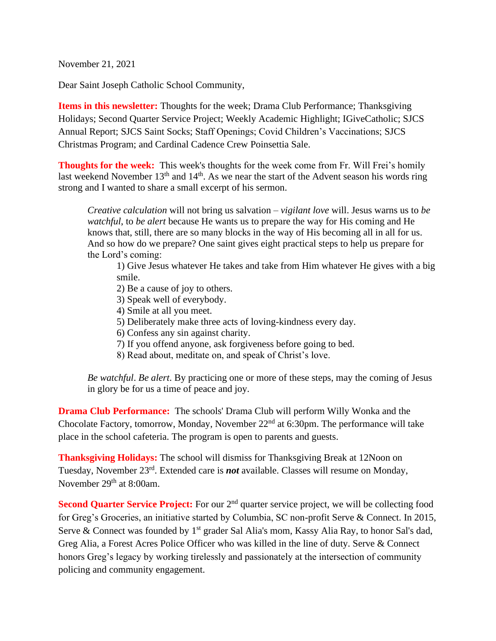November 21, 2021

Dear Saint Joseph Catholic School Community,

**Items in this newsletter:** Thoughts for the week; Drama Club Performance; Thanksgiving Holidays; Second Quarter Service Project; Weekly Academic Highlight; IGiveCatholic; SJCS Annual Report; SJCS Saint Socks; Staff Openings; Covid Children's Vaccinations; SJCS Christmas Program; and Cardinal Cadence Crew Poinsettia Sale.

**Thoughts for the week:** This week's thoughts for the week come from Fr. Will Frei's homily last weekend November  $13<sup>th</sup>$  and  $14<sup>th</sup>$ . As we near the start of the Advent season his words ring strong and I wanted to share a small excerpt of his sermon.

*Creative calculation* will not bring us salvation – *vigilant love* will. Jesus warns us to *be watchful*, to *be alert* because He wants us to prepare the way for His coming and He knows that, still, there are so many blocks in the way of His becoming all in all for us. And so how do we prepare? One saint gives eight practical steps to help us prepare for the Lord's coming:

1) Give Jesus whatever He takes and take from Him whatever He gives with a big smile.

2) Be a cause of joy to others.

- 3) Speak well of everybody.
- 4) Smile at all you meet.
- 5) Deliberately make three acts of loving-kindness every day.
- 6) Confess any sin against charity.
- 7) If you offend anyone, ask forgiveness before going to bed.
- 8) Read about, meditate on, and speak of Christ's love.

*Be watchful*. *Be alert*. By practicing one or more of these steps, may the coming of Jesus in glory be for us a time of peace and joy.

**Drama Club Performance:** The schools' Drama Club will perform Willy Wonka and the Chocolate Factory, tomorrow, Monday, November  $22<sup>nd</sup>$  at 6:30pm. The performance will take place in the school cafeteria. The program is open to parents and guests.

**Thanksgiving Holidays:** The school will dismiss for Thanksgiving Break at 12Noon on Tuesday, November 23rd . Extended care is *not* available. Classes will resume on Monday, November 29<sup>th</sup> at 8:00am.

**Second Quarter Service Project:** For our 2<sup>nd</sup> quarter service project, we will be collecting food for Greg's Groceries, an initiative started by Columbia, SC non-profit Serve & Connect. In 2015, Serve & Connect was founded by  $1<sup>st</sup>$  grader Sal Alia's mom, Kassy Alia Ray, to honor Sal's dad, Greg Alia, a Forest Acres Police Officer who was killed in the line of duty. Serve & Connect honors Greg's legacy by working tirelessly and passionately at the intersection of community policing and community engagement.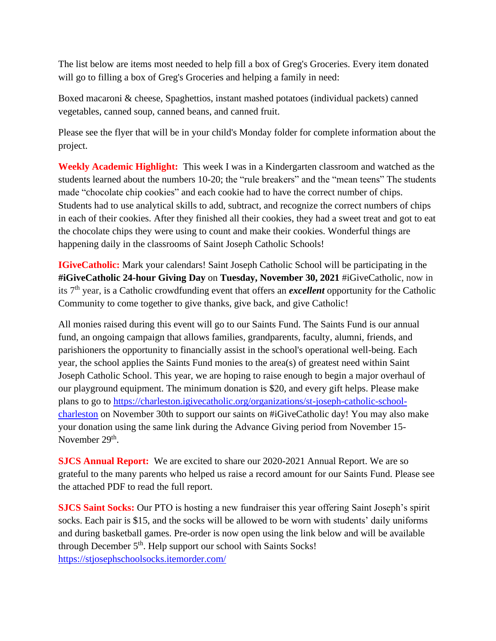The list below are items most needed to help fill a box of Greg's Groceries. Every item donated will go to filling a box of Greg's Groceries and helping a family in need:

Boxed macaroni & cheese, Spaghettios, instant mashed potatoes (individual packets) canned vegetables, canned soup, canned beans, and canned fruit.

Please see the flyer that will be in your child's Monday folder for complete information about the project.

**Weekly Academic Highlight:** This week I was in a Kindergarten classroom and watched as the students learned about the numbers 10-20; the "rule breakers" and the "mean teens" The students made "chocolate chip cookies" and each cookie had to have the correct number of chips. Students had to use analytical skills to add, subtract, and recognize the correct numbers of chips in each of their cookies. After they finished all their cookies, they had a sweet treat and got to eat the chocolate chips they were using to count and make their cookies. Wonderful things are happening daily in the classrooms of Saint Joseph Catholic Schools!

**IGiveCatholic:** Mark your calendars! Saint Joseph Catholic School will be participating in the **#iGiveCatholic 24-hour Giving Day** on **Tuesday, November 30, 2021** #iGiveCatholic, now in its 7th year, is a Catholic crowdfunding event that offers an *excellent* opportunity for the Catholic Community to come together to give thanks, give back, and give Catholic!

All monies raised during this event will go to our Saints Fund. The Saints Fund is our annual fund, an ongoing campaign that allows families, grandparents, faculty, alumni, friends, and parishioners the opportunity to financially assist in the school's operational well-being. Each year, the school applies the Saints Fund monies to the area(s) of greatest need within Saint Joseph Catholic School. This year, we are hoping to raise enough to begin a major overhaul of our playground equipment. The minimum donation is \$20, and every gift helps. Please make plans to go to [https://charleston.igivecatholic.org/organizations/st-joseph-catholic-school](https://charleston.igivecatholic.org/organizations/st-joseph-catholic-school-charleston)[charleston](https://charleston.igivecatholic.org/organizations/st-joseph-catholic-school-charleston) on November 30th to support our saints on #iGiveCatholic day! You may also make your donation using the same link during the Advance Giving period from November 15- November 29<sup>th</sup>.

**SJCS Annual Report:** We are excited to share our 2020-2021 Annual Report. We are so grateful to the many parents who helped us raise a record amount for our Saints Fund. Please see the attached PDF to read the full report.

**SJCS Saint Socks:** Our PTO is hosting a new fundraiser this year offering Saint Joseph's spirit socks. Each pair is \$15, and the socks will be allowed to be worn with students' daily uniforms and during basketball games. Pre-order is now open using the link below and will be available through December 5<sup>th</sup>. Help support our school with Saints Socks! <https://stjosephschoolsocks.itemorder.com/>